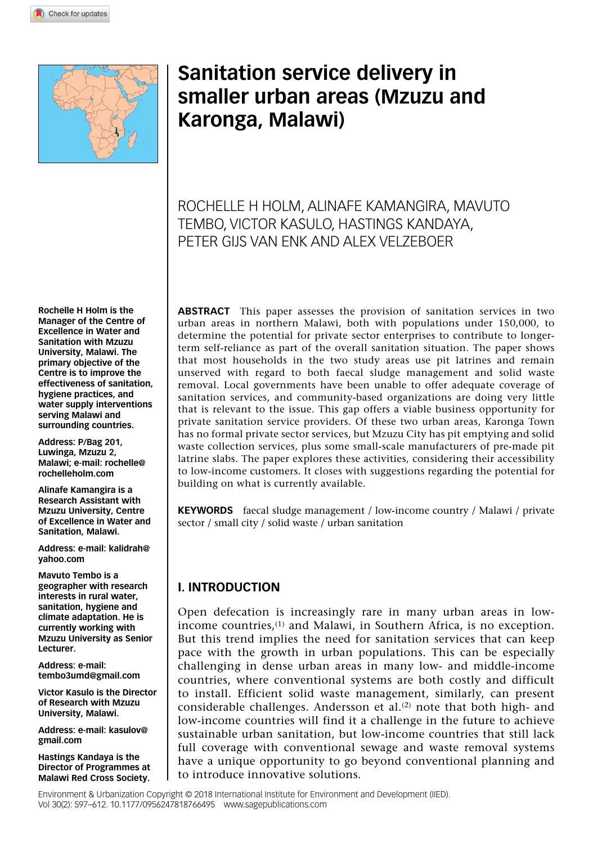**76[6495](http://crossmark.crossref.org/dialog/?doi=10.1177%2F0956247818766495&domain=pdf&date_stamp=2018-04-03)**EAU0010.1177/0956247818766495Environment & UrbanizationShort Title



# **Sanitation service delivery in smaller urban areas (Mzuzu and Karonga, Malawi)**

Rochelle H Holm, Alinafe Kamangira, Mavuto Tembo, Victor Kasulo, Hastings Kandaya, PETER GIJS VAN ENK AND ALEX VELZEBOER

**Rochelle H Holm is the Manager of the Centre of Excellence in Water and Sanitation with Mzuzu University, Malawi. The primary objective of the Centre is to improve the effectiveness of sanitation, hygiene practices, and water supply interventions serving Malawi and surrounding countries.**

**Address: P/Bag 201, Luwinga, Mzuzu 2, Malawi; e-mail: [rochelle@](mailto:rochelle@rochelleholm.com) [rochelleholm.com](mailto:rochelle@rochelleholm.com)**

**Alinafe Kamangira is a Research Assistant with Mzuzu University, Centre of Excellence in Water and Sanitation, Malawi.**

**Address: e-mail: [kalidrah@](mailto:kalidrah@yahoo.com) [yahoo.com](mailto:kalidrah@yahoo.com)**

**Mavuto Tembo is a geographer with research interests in rural water, sanitation, hygiene and climate adaptation. He is currently working with Mzuzu University as Senior Lecturer.**

**Address: e-mail: [tembo3umd@gmail.com](mailto:tembo3umd@gmail.com)**

**Victor Kasulo is the Director of Research with Mzuzu University, Malawi.**

**Address: e-mail: [kasulov@](mailto:kasulov@gmail.com) [gmail.com](mailto:kasulov@gmail.com)**

**Hastings Kandaya is the Director of Programmes at Malawi Red Cross Society.**

**Abstract** This paper assesses the provision of sanitation services in two urban areas in northern Malawi, both with populations under 150,000, to determine the potential for private sector enterprises to contribute to longerterm self-reliance as part of the overall sanitation situation. The paper shows that most households in the two study areas use pit latrines and remain unserved with regard to both faecal sludge management and solid waste removal. Local governments have been unable to offer adequate coverage of sanitation services, and community-based organizations are doing very little that is relevant to the issue. This gap offers a viable business opportunity for private sanitation service providers. Of these two urban areas, Karonga Town has no formal private sector services, but Mzuzu City has pit emptying and solid waste collection services, plus some small-scale manufacturers of pre-made pit latrine slabs. The paper explores these activities, considering their accessibility to low-income customers. It closes with suggestions regarding the potential for building on what is currently available.

**KEYWORDS** faecal sludge management / low-income country / Malawi / private sector / small city / solid waste / urban sanitation

# **I. Introduction**

Open defecation is increasingly rare in many urban areas in lowincome countries.<sup>(1)</sup> and Malawi, in Southern Africa, is no exception. But this trend implies the need for sanitation services that can keep pace with the growth in urban populations. This can be especially challenging in dense urban areas in many low- and middle-income countries, where conventional systems are both costly and difficult to install. Efficient solid waste management, similarly, can present considerable challenges. Andersson et al. $(2)$  note that both high- and low-income countries will find it a challenge in the future to achieve sustainable urban sanitation, but low-income countries that still lack full coverage with conventional sewage and waste removal systems have a unique opportunity to go beyond conventional planning and to introduce innovative solutions.

Vol 30(2): 597-612. 10.1177/0956247818766495 [www.sagepublications.com](http://www.sagepublications.com) Environment & Urbanization Copyright © 2018 International Institute for Environment and Development (IIED). **597**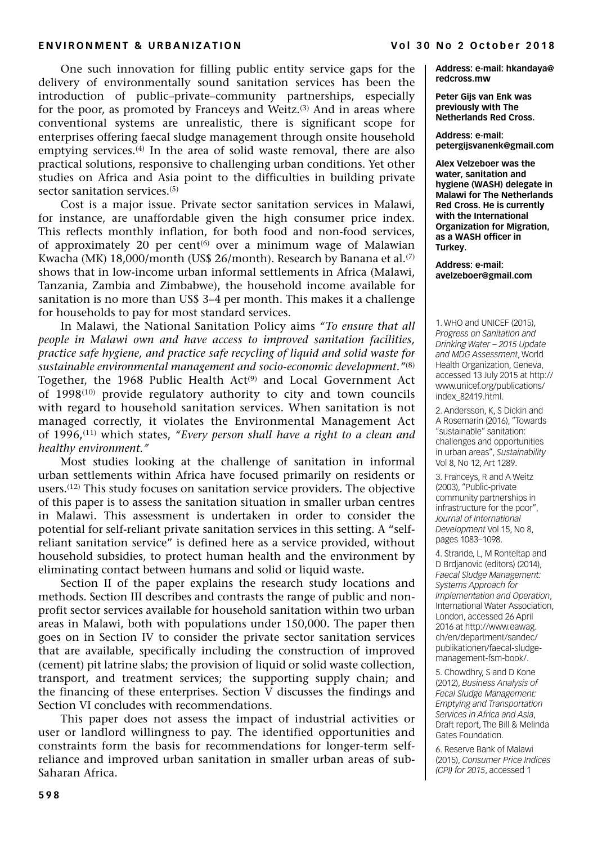One such innovation for filling public entity service gaps for the delivery of environmentally sound sanitation services has been the introduction of public–private–community partnerships, especially for the poor, as promoted by Franceys and Weitz.<sup>(3)</sup> And in areas where conventional systems are unrealistic, there is significant scope for enterprises offering faecal sludge management through onsite household emptying services.(4) In the area of solid waste removal, there are also practical solutions, responsive to challenging urban conditions. Yet other studies on Africa and Asia point to the difficulties in building private sector sanitation services.<sup>(5)</sup>

Cost is a major issue. Private sector sanitation services in Malawi, for instance, are unaffordable given the high consumer price index. This reflects monthly inflation, for both food and non-food services, of approximately 20 per cent<sup> $(6)$ </sup> over a minimum wage of Malawian Kwacha (MK) 18,000/month (US\$ 26/month). Research by Banana et al.(7) shows that in low-income urban informal settlements in Africa (Malawi, Tanzania, Zambia and Zimbabwe), the household income available for sanitation is no more than US\$ 3–4 per month. This makes it a challenge for households to pay for most standard services.

In Malawi, the National Sanitation Policy aims *"To ensure that all people in Malawi own and have access to improved sanitation facilities, practice safe hygiene, and practice safe recycling of liquid and solid waste for sustainable environmental management and socio-economic development."*(8) Together, the 1968 Public Health Act<sup>(9)</sup> and Local Government Act of 1998<sup>(10)</sup> provide regulatory authority to city and town councils with regard to household sanitation services. When sanitation is not managed correctly, it violates the Environmental Management Act of 1996,(11) which states, *"Every person shall have a right to a clean and healthy environment."*

Most studies looking at the challenge of sanitation in informal urban settlements within Africa have focused primarily on residents or users.<sup>(12)</sup> This study focuses on sanitation service providers. The objective of this paper is to assess the sanitation situation in smaller urban centres in Malawi. This assessment is undertaken in order to consider the potential for self-reliant private sanitation services in this setting. A "selfreliant sanitation service" is defined here as a service provided, without household subsidies, to protect human health and the environment by eliminating contact between humans and solid or liquid waste.

Section II of the paper explains the research study locations and methods. Section III describes and contrasts the range of public and nonprofit sector services available for household sanitation within two urban areas in Malawi, both with populations under 150,000. The paper then goes on in Section IV to consider the private sector sanitation services that are available, specifically including the construction of improved (cement) pit latrine slabs; the provision of liquid or solid waste collection, transport, and treatment services; the supporting supply chain; and the financing of these enterprises. Section V discusses the findings and Section VI concludes with recommendations.

This paper does not assess the impact of industrial activities or user or landlord willingness to pay. The identified opportunities and constraints form the basis for recommendations for longer-term selfreliance and improved urban sanitation in smaller urban areas of sub-Saharan Africa.

**Address: e-mail: [hkandaya@](mailto:hkandaya@redcross.mw) [redcross.mw](mailto:hkandaya@redcross.mw)**

**Peter Gijs van Enk was previously with The Netherlands Red Cross.**

**Address: e-mail: [petergijsvanenk@gmail.com](mailto:petergijsvanenk@gmail.com)**

**Alex Velzeboer was the water, sanitation and hygiene (WASH) delegate in Malawi for The Netherlands Red Cross. He is currently with the International Organization for Migration, as a WASH officer in Turkey.**

**Address: e-mail: [avelzeboer@gmail.com](mailto:avelzeboer@gmail.com)**

1. WHO and UNICEF (2015), *Progress on Sanitation and Drinking Water – 2015 Update and MDG Assessment*, World Health Organization, Geneva, accessed 13 July 2015 at [http://](http://www.unicef.org/publications/index_82419.html) [www.unicef.org/publications/](http://www.unicef.org/publications/index_82419.html) [index\\_82419.html.](http://www.unicef.org/publications/index_82419.html)

2. Andersson, K, S Dickin and A Rosemarin (2016), "Towards "sustainable" sanitation: challenges and opportunities in urban areas", *Sustainability* Vol 8, No 12, Art 1289.

3. Franceys, R and A Weitz (2003), "Public-private community partnerships in infrastructure for the poor", *Journal of International Development* Vol 15, No 8, pages 1083–1098.

4. Strande, L, M Ronteltap and D Brdjanovic (editors) (2014), *Faecal Sludge Management: Systems Approach for Implementation and Operation*, International Water Association, London, accessed 26 April 2016 at [http://www.eawag.](http://www.eawag.ch/en/department/sandec/publikationen/faecal-sludge-management-fsm-book/) [ch/en/department/sandec/](http://www.eawag.ch/en/department/sandec/publikationen/faecal-sludge-management-fsm-book/) [publikationen/faecal-sludge](http://www.eawag.ch/en/department/sandec/publikationen/faecal-sludge-management-fsm-book/)[management-fsm-book/](http://www.eawag.ch/en/department/sandec/publikationen/faecal-sludge-management-fsm-book/).

5. Chowdhry, S and D Kone (2012), *Business Analysis of Fecal Sludge Management: Emptying and Transportation Services in Africa and Asia*, Draft report, The Bill & Melinda Gates Foundation.

6. Reserve Bank of Malawi (2015), *Consumer Price Indices (CPI) for 2015*, accessed 1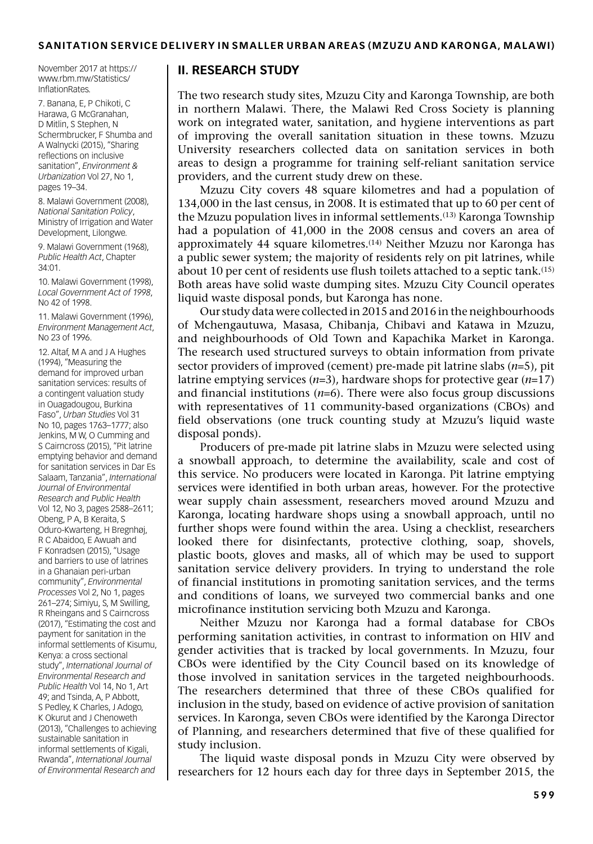November 2017 at [https://](https://www.rbm.mw/Statistics/InflationRates) [www.rbm.mw/Statistics/](https://www.rbm.mw/Statistics/InflationRates) [InflationRates.](https://www.rbm.mw/Statistics/InflationRates)

7. Banana, E, P Chikoti, C Harawa, G McGranahan, D Mitlin, S Stephen, N Schermbrucker, F Shumba and A Walnycki (2015), "Sharing reflections on inclusive sanitation", *Environment & Urbanization* Vol 27, No 1, pages 19–34.

8. Malawi Government (2008), *National Sanitation Policy*, Ministry of Irrigation and Water Development, Lilongwe.

9. Malawi Government (1968), *Public Health Act*, Chapter 34:01.

10. Malawi Government (1998), *Local Government Act of 1998*, No 42 of 1998.

11. Malawi Government (1996), *Environment Management Act*, No 23 of 1996.

12. Altaf, M A and J A Hughes (1994), "Measuring the demand for improved urban sanitation services: results of a contingent valuation study in Ouagadougou, Burkina Faso", *Urban Studies* Vol 31 No 10, pages 1763–1777; also Jenkins, M W, O Cumming and S Cairncross (2015), "Pit latrine emptying behavior and demand for sanitation services in Dar Es Salaam, Tanzania", *International Journal of Environmental Research and Public Health* Vol 12, No 3, pages 2588–2611; Obeng, P A, B Keraita, S Oduro-Kwarteng, H Bregnhøj, R C Abaidoo, E Awuah and F Konradsen (2015), "Usage and barriers to use of latrines in a Ghanaian peri-urban community", *Environmental Processes* Vol 2, No 1, pages 261–274; Simiyu, S, M Swilling, R Rheingans and S Cairncross (2017), "Estimating the cost and payment for sanitation in the informal settlements of Kisumu, Kenya: a cross sectional study", *International Journal of Environmental Research and Public Health* Vol 14, No 1, Art 49; and Tsinda, A, P Abbott, S Pedley, K Charles, J Adogo, K Okurut and J Chenoweth (2013), "Challenges to achieving sustainable sanitation in informal settlements of Kigali, Rwanda", *International Journal of Environmental Research and* 

# **II. Research Study**

The two research study sites, Mzuzu City and Karonga Township, are both in northern Malawi. There, the Malawi Red Cross Society is planning work on integrated water, sanitation, and hygiene interventions as part of improving the overall sanitation situation in these towns. Mzuzu University researchers collected data on sanitation services in both areas to design a programme for training self-reliant sanitation service providers, and the current study drew on these.

Mzuzu City covers 48 square kilometres and had a population of 134,000 in the last census, in 2008. It is estimated that up to 60 per cent of the Mzuzu population lives in informal settlements.(13) Karonga Township had a population of 41,000 in the 2008 census and covers an area of approximately 44 square kilometres.<sup>(14)</sup> Neither Mzuzu nor Karonga has a public sewer system; the majority of residents rely on pit latrines, while about 10 per cent of residents use flush toilets attached to a septic tank.<sup>(15)</sup> Both areas have solid waste dumping sites. Mzuzu City Council operates liquid waste disposal ponds, but Karonga has none.

Our study data were collected in 2015 and 2016 in the neighbourhoods of Mchengautuwa, Masasa, Chibanja, Chibavi and Katawa in Mzuzu, and neighbourhoods of Old Town and Kapachika Market in Karonga. The research used structured surveys to obtain information from private sector providers of improved (cement) pre-made pit latrine slabs (*n*=5), pit latrine emptying services (*n*=3), hardware shops for protective gear (*n*=17) and financial institutions (*n*=6). There were also focus group discussions with representatives of 11 community-based organizations (CBOs) and field observations (one truck counting study at Mzuzu's liquid waste disposal ponds).

Producers of pre-made pit latrine slabs in Mzuzu were selected using a snowball approach, to determine the availability, scale and cost of this service. No producers were located in Karonga. Pit latrine emptying services were identified in both urban areas, however. For the protective wear supply chain assessment, researchers moved around Mzuzu and Karonga, locating hardware shops using a snowball approach, until no further shops were found within the area. Using a checklist, researchers looked there for disinfectants, protective clothing, soap, shovels, plastic boots, gloves and masks, all of which may be used to support sanitation service delivery providers. In trying to understand the role of financial institutions in promoting sanitation services, and the terms and conditions of loans, we surveyed two commercial banks and one microfinance institution servicing both Mzuzu and Karonga.

Neither Mzuzu nor Karonga had a formal database for CBOs performing sanitation activities, in contrast to information on HIV and gender activities that is tracked by local governments. In Mzuzu, four CBOs were identified by the City Council based on its knowledge of those involved in sanitation services in the targeted neighbourhoods. The researchers determined that three of these CBOs qualified for inclusion in the study, based on evidence of active provision of sanitation services. In Karonga, seven CBOs were identified by the Karonga Director of Planning, and researchers determined that five of these qualified for study inclusion.

The liquid waste disposal ponds in Mzuzu City were observed by researchers for 12 hours each day for three days in September 2015, the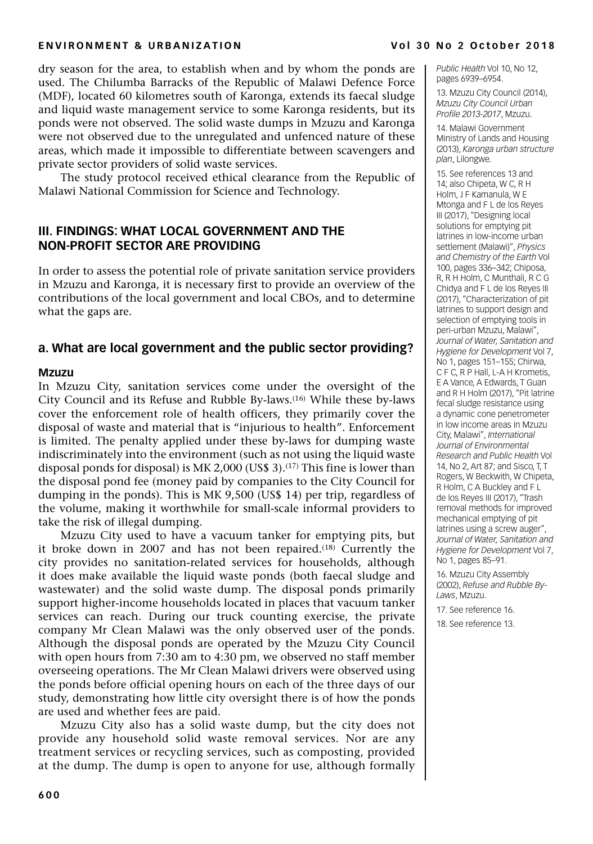dry season for the area, to establish when and by whom the ponds are used. The Chilumba Barracks of the Republic of Malawi Defence Force (MDF), located 60 kilometres south of Karonga, extends its faecal sludge and liquid waste management service to some Karonga residents, but its ponds were not observed. The solid waste dumps in Mzuzu and Karonga were not observed due to the unregulated and unfenced nature of these areas, which made it impossible to differentiate between scavengers and private sector providers of solid waste services.

The study protocol received ethical clearance from the Republic of Malawi National Commission for Science and Technology.

# **III. Findings: What Local Government and The Non-Profit Sector Are Providing**

In order to assess the potential role of private sanitation service providers in Mzuzu and Karonga, it is necessary first to provide an overview of the contributions of the local government and local CBOs, and to determine what the gaps are.

## **a. What are local government and the public sector providing?**

#### **Mzuzu**

In Mzuzu City, sanitation services come under the oversight of the City Council and its Refuse and Rubble By-laws.(16) While these by-laws cover the enforcement role of health officers, they primarily cover the disposal of waste and material that is "injurious to health". Enforcement is limited. The penalty applied under these by-laws for dumping waste indiscriminately into the environment (such as not using the liquid waste disposal ponds for disposal) is MK 2,000 (US\$ 3).<sup>(17)</sup> This fine is lower than the disposal pond fee (money paid by companies to the City Council for dumping in the ponds). This is MK 9,500 (US\$ 14) per trip, regardless of the volume, making it worthwhile for small-scale informal providers to take the risk of illegal dumping.

Mzuzu City used to have a vacuum tanker for emptying pits, but it broke down in 2007 and has not been repaired.(18) Currently the city provides no sanitation-related services for households, although it does make available the liquid waste ponds (both faecal sludge and wastewater) and the solid waste dump. The disposal ponds primarily support higher-income households located in places that vacuum tanker services can reach. During our truck counting exercise, the private company Mr Clean Malawi was the only observed user of the ponds. Although the disposal ponds are operated by the Mzuzu City Council with open hours from 7:30 am to 4:30 pm, we observed no staff member overseeing operations. The Mr Clean Malawi drivers were observed using the ponds before official opening hours on each of the three days of our study, demonstrating how little city oversight there is of how the ponds are used and whether fees are paid.

Mzuzu City also has a solid waste dump, but the city does not provide any household solid waste removal services. Nor are any treatment services or recycling services, such as composting, provided at the dump. The dump is open to anyone for use, although formally

*Public Health* Vol 10, No 12, pages 6939–6954.

13. Mzuzu City Council (2014), *Mzuzu City Council Urban Profile 2013-2017*, Mzuzu.

14. Malawi Government Ministry of Lands and Housing (2013), *Karonga urban structure plan*, Lilongwe.

15. See references 13 and 14; also Chipeta, W C, R H Holm, J F Kamanula, W E Mtonga and F L de los Reyes III (2017), "Designing local solutions for emptying pit latrines in low-income urban settlement (Malawi)", *Physics and Chemistry of the Earth* Vol 100, pages 336–342; Chiposa, R, R H Holm, C Munthali, R C G Chidya and F L de los Reyes III (2017), "Characterization of pit latrines to support design and selection of emptying tools in peri-urban Mzuzu, Malawi", *Journal of Water, Sanitation and Hygiene for Development* Vol 7, No 1, pages 151–155; Chirwa, C F C, R P Hall, L-A H Krometis, E A Vance, A Edwards, T Guan and R H Holm (2017), "Pit latrine fecal sludge resistance using a dynamic cone penetrometer in low income areas in Mzuzu City, Malawi", *International Journal of Environmental Research and Public Health* Vol 14, No 2, Art 87; and Sisco, T, T Rogers, W Beckwith, W Chipeta, R Holm, C A Buckley and F L de los Reyes III (2017), "Trash removal methods for improved mechanical emptying of pit latrines using a screw auger", *Journal of Water, Sanitation and Hygiene for Development* Vol 7, No 1, pages 85–91.

16. Mzuzu City Assembly (2002), *Refuse and Rubble By-Laws*, Mzuzu.

17. See reference 16.

18. See reference 13.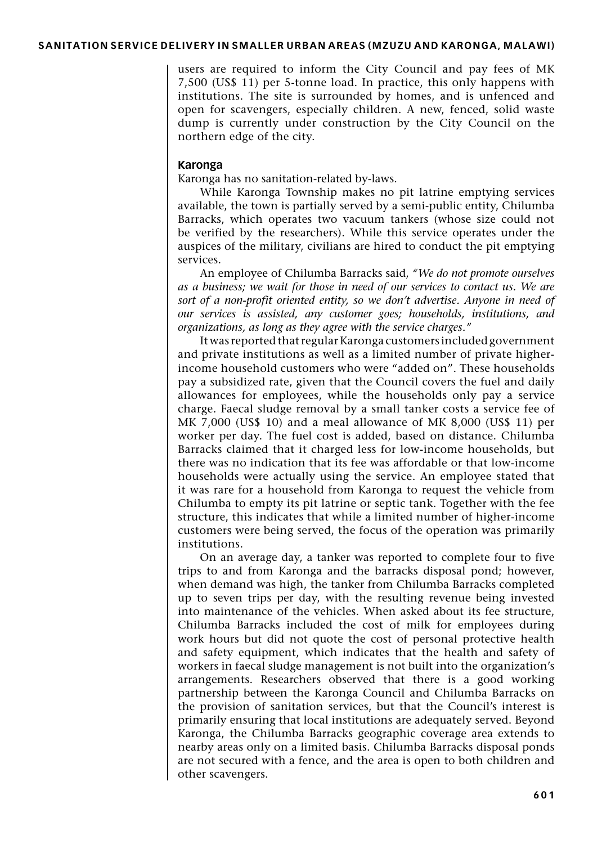## **Sanitation service delivery in smaller urban areas (Mzuzu and Karonga, Malawi)**

users are required to inform the City Council and pay fees of MK 7,500 (US\$ 11) per 5-tonne load. In practice, this only happens with institutions. The site is surrounded by homes, and is unfenced and open for scavengers, especially children. A new, fenced, solid waste dump is currently under construction by the City Council on the northern edge of the city.

## **Karonga**

Karonga has no sanitation-related by-laws.

While Karonga Township makes no pit latrine emptying services available, the town is partially served by a semi-public entity, Chilumba Barracks, which operates two vacuum tankers (whose size could not be verified by the researchers). While this service operates under the auspices of the military, civilians are hired to conduct the pit emptying services.

An employee of Chilumba Barracks said, *"We do not promote ourselves as a business; we wait for those in need of our services to contact us. We are sort of a non-profit oriented entity, so we don't advertise. Anyone in need of our services is assisted, any customer goes; households, institutions, and organizations, as long as they agree with the service charges."*

It was reported that regular Karonga customers included government and private institutions as well as a limited number of private higherincome household customers who were "added on". These households pay a subsidized rate, given that the Council covers the fuel and daily allowances for employees, while the households only pay a service charge. Faecal sludge removal by a small tanker costs a service fee of MK 7,000 (US\$ 10) and a meal allowance of MK 8,000 (US\$ 11) per worker per day. The fuel cost is added, based on distance. Chilumba Barracks claimed that it charged less for low-income households, but there was no indication that its fee was affordable or that low-income households were actually using the service. An employee stated that it was rare for a household from Karonga to request the vehicle from Chilumba to empty its pit latrine or septic tank. Together with the fee structure, this indicates that while a limited number of higher-income customers were being served, the focus of the operation was primarily institutions.

On an average day, a tanker was reported to complete four to five trips to and from Karonga and the barracks disposal pond; however, when demand was high, the tanker from Chilumba Barracks completed up to seven trips per day, with the resulting revenue being invested into maintenance of the vehicles. When asked about its fee structure, Chilumba Barracks included the cost of milk for employees during work hours but did not quote the cost of personal protective health and safety equipment, which indicates that the health and safety of workers in faecal sludge management is not built into the organization's arrangements. Researchers observed that there is a good working partnership between the Karonga Council and Chilumba Barracks on the provision of sanitation services, but that the Council's interest is primarily ensuring that local institutions are adequately served. Beyond Karonga, the Chilumba Barracks geographic coverage area extends to nearby areas only on a limited basis. Chilumba Barracks disposal ponds are not secured with a fence, and the area is open to both children and other scavengers.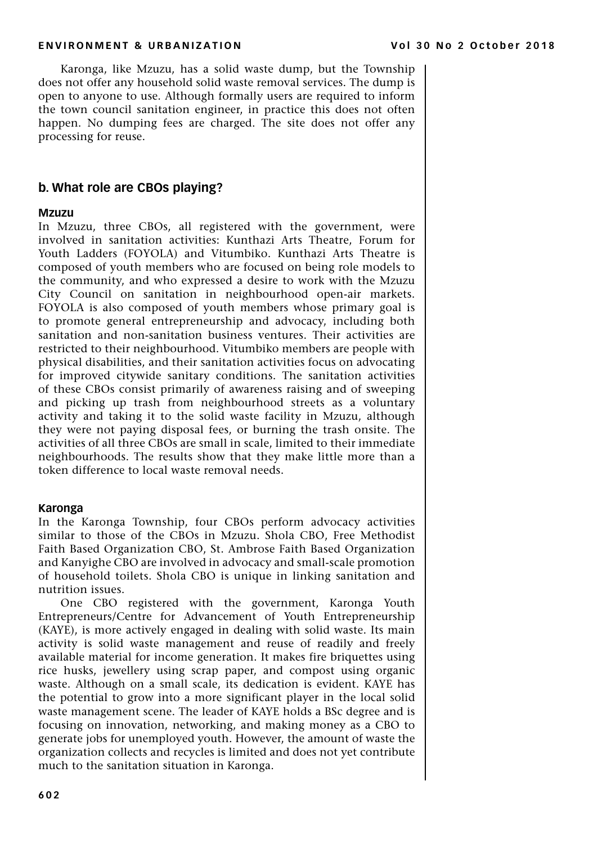Karonga, like Mzuzu, has a solid waste dump, but the Township does not offer any household solid waste removal services. The dump is open to anyone to use. Although formally users are required to inform the town council sanitation engineer, in practice this does not often happen. No dumping fees are charged. The site does not offer any processing for reuse.

## **b. What role are CBOs playing?**

#### **Mzuzu**

In Mzuzu, three CBOs, all registered with the government, were involved in sanitation activities: Kunthazi Arts Theatre, Forum for Youth Ladders (FOYOLA) and Vitumbiko. Kunthazi Arts Theatre is composed of youth members who are focused on being role models to the community, and who expressed a desire to work with the Mzuzu City Council on sanitation in neighbourhood open-air markets. FOYOLA is also composed of youth members whose primary goal is to promote general entrepreneurship and advocacy, including both sanitation and non-sanitation business ventures. Their activities are restricted to their neighbourhood. Vitumbiko members are people with physical disabilities, and their sanitation activities focus on advocating for improved citywide sanitary conditions. The sanitation activities of these CBOs consist primarily of awareness raising and of sweeping and picking up trash from neighbourhood streets as a voluntary activity and taking it to the solid waste facility in Mzuzu, although they were not paying disposal fees, or burning the trash onsite. The activities of all three CBOs are small in scale, limited to their immediate neighbourhoods. The results show that they make little more than a token difference to local waste removal needs.

#### **Karonga**

In the Karonga Township, four CBOs perform advocacy activities similar to those of the CBOs in Mzuzu. Shola CBO, Free Methodist Faith Based Organization CBO, St. Ambrose Faith Based Organization and Kanyighe CBO are involved in advocacy and small-scale promotion of household toilets. Shola CBO is unique in linking sanitation and nutrition issues.

One CBO registered with the government, Karonga Youth Entrepreneurs/Centre for Advancement of Youth Entrepreneurship (KAYE), is more actively engaged in dealing with solid waste. Its main activity is solid waste management and reuse of readily and freely available material for income generation. It makes fire briquettes using rice husks, jewellery using scrap paper, and compost using organic waste. Although on a small scale, its dedication is evident. KAYE has the potential to grow into a more significant player in the local solid waste management scene. The leader of KAYE holds a BSc degree and is focusing on innovation, networking, and making money as a CBO to generate jobs for unemployed youth. However, the amount of waste the organization collects and recycles is limited and does not yet contribute much to the sanitation situation in Karonga.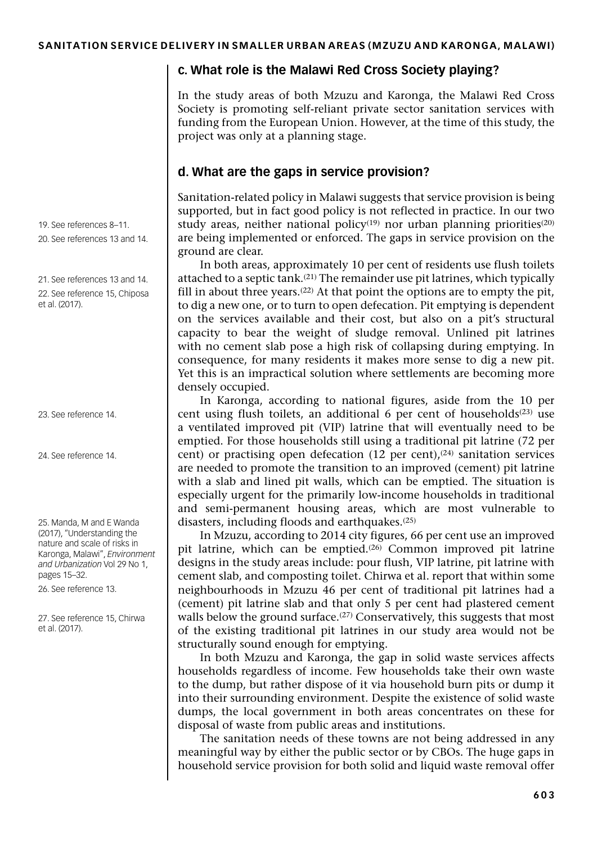# **c. What role is the Malawi Red Cross Society playing?**

In the study areas of both Mzuzu and Karonga, the Malawi Red Cross Society is promoting self-reliant private sector sanitation services with funding from the European Union. However, at the time of this study, the project was only at a planning stage.

# **d. What are the gaps in service provision?**

Sanitation-related policy in Malawi suggests that service provision is being supported, but in fact good policy is not reflected in practice. In our two study areas, neither national policy<sup>(19)</sup> nor urban planning priorities<sup>(20)</sup> are being implemented or enforced. The gaps in service provision on the ground are clear.

In both areas, approximately 10 per cent of residents use flush toilets attached to a septic tank.(21) The remainder use pit latrines, which typically fill in about three years.<sup> $(22)$ </sup> At that point the options are to empty the pit, to dig a new one, or to turn to open defecation. Pit emptying is dependent on the services available and their cost, but also on a pit's structural capacity to bear the weight of sludge removal. Unlined pit latrines with no cement slab pose a high risk of collapsing during emptying. In consequence, for many residents it makes more sense to dig a new pit. Yet this is an impractical solution where settlements are becoming more densely occupied.

In Karonga, according to national figures, aside from the 10 per cent using flush toilets, an additional 6 per cent of households $(23)$  use a ventilated improved pit (VIP) latrine that will eventually need to be emptied. For those households still using a traditional pit latrine (72 per cent) or practising open defecation  $(12 \text{ per cent})$ ,<sup>(24)</sup> sanitation services are needed to promote the transition to an improved (cement) pit latrine with a slab and lined pit walls, which can be emptied. The situation is especially urgent for the primarily low-income households in traditional and semi-permanent housing areas, which are most vulnerable to disasters, including floods and earthquakes.(25)

In Mzuzu, according to 2014 city figures, 66 per cent use an improved pit latrine, which can be emptied.<sup>(26)</sup> Common improved pit latrine designs in the study areas include: pour flush, VIP latrine, pit latrine with cement slab, and composting toilet. Chirwa et al. report that within some neighbourhoods in Mzuzu 46 per cent of traditional pit latrines had a (cement) pit latrine slab and that only 5 per cent had plastered cement walls below the ground surface.<sup>(27)</sup> Conservatively, this suggests that most of the existing traditional pit latrines in our study area would not be structurally sound enough for emptying.

In both Mzuzu and Karonga, the gap in solid waste services affects households regardless of income. Few households take their own waste to the dump, but rather dispose of it via household burn pits or dump it into their surrounding environment. Despite the existence of solid waste dumps, the local government in both areas concentrates on these for disposal of waste from public areas and institutions.

The sanitation needs of these towns are not being addressed in any meaningful way by either the public sector or by CBOs. The huge gaps in household service provision for both solid and liquid waste removal offer

19. See references 8–11.

20. See references 13 and 14.

21. See references 13 and 14. 22. See reference 15, Chiposa et al. (2017).

23. See reference 14.

24. See reference 14.

25. Manda, M and E Wanda (2017), "Understanding the nature and scale of risks in Karonga, Malawi", *Environment and Urbanization* Vol 29 No 1, pages 15–32.

26. See reference 13.

27. See reference 15, Chirwa et al. (2017).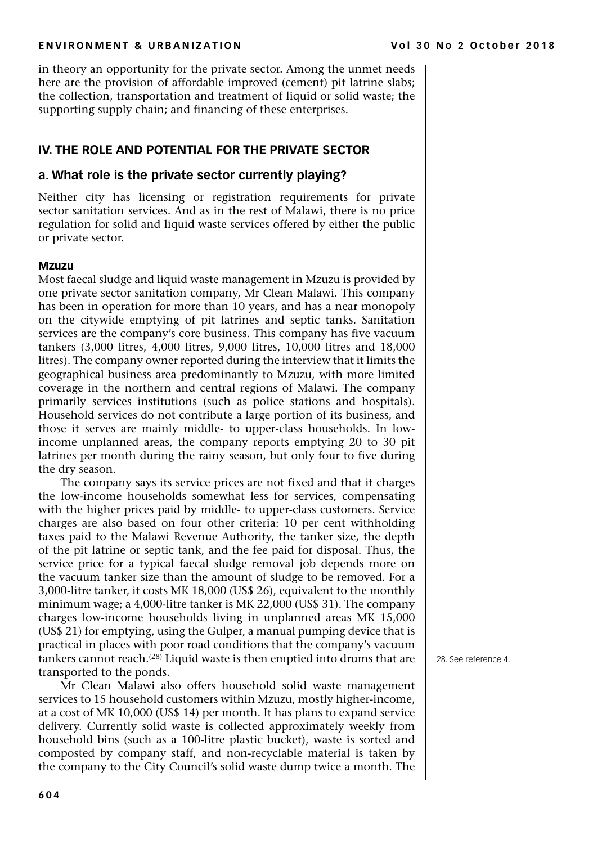in theory an opportunity for the private sector. Among the unmet needs here are the provision of affordable improved (cement) pit latrine slabs; the collection, transportation and treatment of liquid or solid waste; the supporting supply chain; and financing of these enterprises.

# **IV. The Role and Potential for The Private Sector**

## **a. What role is the private sector currently playing?**

Neither city has licensing or registration requirements for private sector sanitation services. And as in the rest of Malawi, there is no price regulation for solid and liquid waste services offered by either the public or private sector.

#### **Mzuzu**

Most faecal sludge and liquid waste management in Mzuzu is provided by one private sector sanitation company, Mr Clean Malawi. This company has been in operation for more than 10 years, and has a near monopoly on the citywide emptying of pit latrines and septic tanks. Sanitation services are the company's core business. This company has five vacuum tankers (3,000 litres, 4,000 litres, 9,000 litres, 10,000 litres and 18,000 litres). The company owner reported during the interview that it limits the geographical business area predominantly to Mzuzu, with more limited coverage in the northern and central regions of Malawi. The company primarily services institutions (such as police stations and hospitals). Household services do not contribute a large portion of its business, and those it serves are mainly middle- to upper-class households. In lowincome unplanned areas, the company reports emptying 20 to 30 pit latrines per month during the rainy season, but only four to five during the dry season.

The company says its service prices are not fixed and that it charges the low-income households somewhat less for services, compensating with the higher prices paid by middle- to upper-class customers. Service charges are also based on four other criteria: 10 per cent withholding taxes paid to the Malawi Revenue Authority, the tanker size, the depth of the pit latrine or septic tank, and the fee paid for disposal. Thus, the service price for a typical faecal sludge removal job depends more on the vacuum tanker size than the amount of sludge to be removed. For a 3,000-litre tanker, it costs MK 18,000 (US\$ 26), equivalent to the monthly minimum wage; a 4,000-litre tanker is MK 22,000 (US\$ 31). The company charges low-income households living in unplanned areas MK 15,000 (US\$ 21) for emptying, using the Gulper, a manual pumping device that is practical in places with poor road conditions that the company's vacuum tankers cannot reach.(28) Liquid waste is then emptied into drums that are transported to the ponds.

Mr Clean Malawi also offers household solid waste management services to 15 household customers within Mzuzu, mostly higher-income, at a cost of MK 10,000 (US\$ 14) per month. It has plans to expand service delivery. Currently solid waste is collected approximately weekly from household bins (such as a 100-litre plastic bucket), waste is sorted and composted by company staff, and non-recyclable material is taken by the company to the City Council's solid waste dump twice a month. The

28. See reference 4.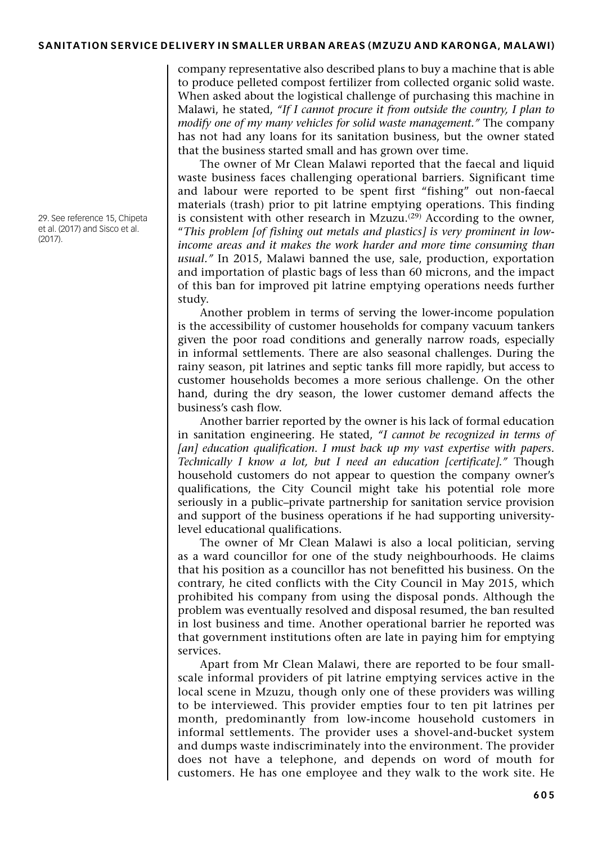#### **Sanitation service delivery in smaller urban areas (Mzuzu and Karonga, Malawi)**

company representative also described plans to buy a machine that is able to produce pelleted compost fertilizer from collected organic solid waste. When asked about the logistical challenge of purchasing this machine in Malawi, he stated, *"If I cannot procure it from outside the country, I plan to modify one of my many vehicles for solid waste management."* The company has not had any loans for its sanitation business, but the owner stated that the business started small and has grown over time.

The owner of Mr Clean Malawi reported that the faecal and liquid waste business faces challenging operational barriers. Significant time and labour were reported to be spent first "fishing" out non-faecal materials (trash) prior to pit latrine emptying operations. This finding is consistent with other research in Mzuzu.<sup>(29)</sup> According to the owner, "*This problem [of fishing out metals and plastics] is very prominent in lowincome areas and it makes the work harder and more time consuming than usual."* In 2015, Malawi banned the use, sale, production, exportation and importation of plastic bags of less than 60 microns, and the impact of this ban for improved pit latrine emptying operations needs further study.

Another problem in terms of serving the lower-income population is the accessibility of customer households for company vacuum tankers given the poor road conditions and generally narrow roads, especially in informal settlements. There are also seasonal challenges. During the rainy season, pit latrines and septic tanks fill more rapidly, but access to customer households becomes a more serious challenge. On the other hand, during the dry season, the lower customer demand affects the business's cash flow.

Another barrier reported by the owner is his lack of formal education in sanitation engineering. He stated, *"I cannot be recognized in terms of*  [an] education qualification. I must back up my vast expertise with papers. *Technically I know a lot, but I need an education [certificate]."* Though household customers do not appear to question the company owner's qualifications, the City Council might take his potential role more seriously in a public–private partnership for sanitation service provision and support of the business operations if he had supporting universitylevel educational qualifications.

The owner of Mr Clean Malawi is also a local politician, serving as a ward councillor for one of the study neighbourhoods. He claims that his position as a councillor has not benefitted his business. On the contrary, he cited conflicts with the City Council in May 2015, which prohibited his company from using the disposal ponds. Although the problem was eventually resolved and disposal resumed, the ban resulted in lost business and time. Another operational barrier he reported was that government institutions often are late in paying him for emptying services.

Apart from Mr Clean Malawi, there are reported to be four smallscale informal providers of pit latrine emptying services active in the local scene in Mzuzu, though only one of these providers was willing to be interviewed. This provider empties four to ten pit latrines per month, predominantly from low-income household customers in informal settlements. The provider uses a shovel-and-bucket system and dumps waste indiscriminately into the environment. The provider does not have a telephone, and depends on word of mouth for customers. He has one employee and they walk to the work site. He

29. See reference 15, Chipeta et al. (2017) and Sisco et al. (2017).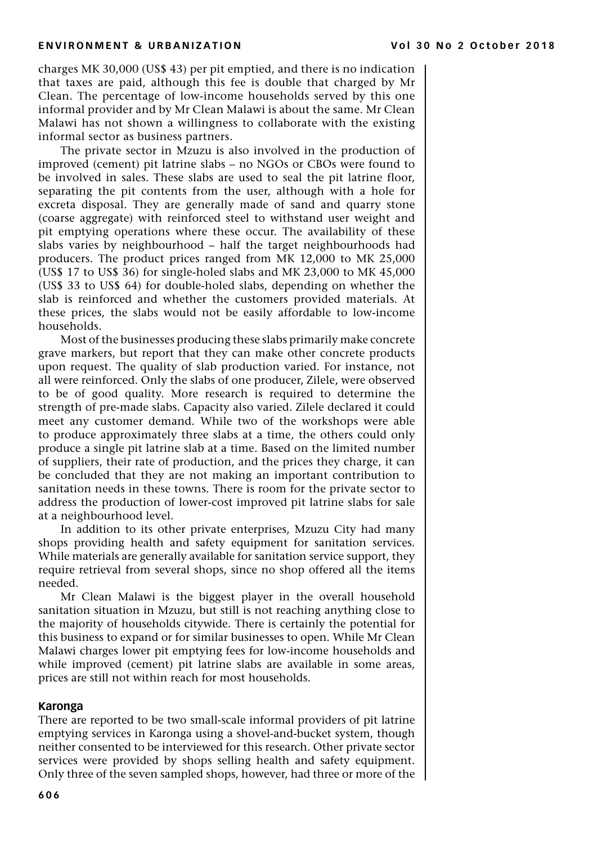charges MK 30,000 (US\$ 43) per pit emptied, and there is no indication that taxes are paid, although this fee is double that charged by Mr Clean. The percentage of low-income households served by this one informal provider and by Mr Clean Malawi is about the same. Mr Clean Malawi has not shown a willingness to collaborate with the existing informal sector as business partners.

The private sector in Mzuzu is also involved in the production of improved (cement) pit latrine slabs – no NGOs or CBOs were found to be involved in sales. These slabs are used to seal the pit latrine floor, separating the pit contents from the user, although with a hole for excreta disposal. They are generally made of sand and quarry stone (coarse aggregate) with reinforced steel to withstand user weight and pit emptying operations where these occur. The availability of these slabs varies by neighbourhood – half the target neighbourhoods had producers. The product prices ranged from MK 12,000 to MK 25,000 (US\$ 17 to US\$ 36) for single-holed slabs and MK 23,000 to MK 45,000 (US\$ 33 to US\$ 64) for double-holed slabs, depending on whether the slab is reinforced and whether the customers provided materials. At these prices, the slabs would not be easily affordable to low-income households.

Most of the businesses producing these slabs primarily make concrete grave markers, but report that they can make other concrete products upon request. The quality of slab production varied. For instance, not all were reinforced. Only the slabs of one producer, Zilele, were observed to be of good quality. More research is required to determine the strength of pre-made slabs. Capacity also varied. Zilele declared it could meet any customer demand. While two of the workshops were able to produce approximately three slabs at a time, the others could only produce a single pit latrine slab at a time. Based on the limited number of suppliers, their rate of production, and the prices they charge, it can be concluded that they are not making an important contribution to sanitation needs in these towns. There is room for the private sector to address the production of lower-cost improved pit latrine slabs for sale at a neighbourhood level.

In addition to its other private enterprises, Mzuzu City had many shops providing health and safety equipment for sanitation services. While materials are generally available for sanitation service support, they require retrieval from several shops, since no shop offered all the items needed.

Mr Clean Malawi is the biggest player in the overall household sanitation situation in Mzuzu, but still is not reaching anything close to the majority of households citywide. There is certainly the potential for this business to expand or for similar businesses to open. While Mr Clean Malawi charges lower pit emptying fees for low-income households and while improved (cement) pit latrine slabs are available in some areas, prices are still not within reach for most households.

#### **Karonga**

There are reported to be two small-scale informal providers of pit latrine emptying services in Karonga using a shovel-and-bucket system, though neither consented to be interviewed for this research. Other private sector services were provided by shops selling health and safety equipment. Only three of the seven sampled shops, however, had three or more of the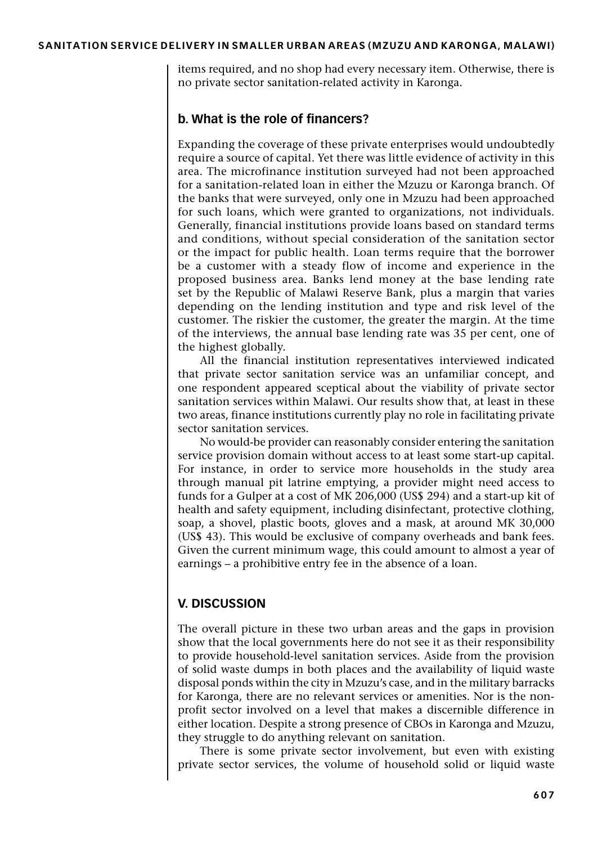items required, and no shop had every necessary item. Otherwise, there is no private sector sanitation-related activity in Karonga.

# **b. What is the role of financers?**

Expanding the coverage of these private enterprises would undoubtedly require a source of capital. Yet there was little evidence of activity in this area. The microfinance institution surveyed had not been approached for a sanitation-related loan in either the Mzuzu or Karonga branch. Of the banks that were surveyed, only one in Mzuzu had been approached for such loans, which were granted to organizations, not individuals. Generally, financial institutions provide loans based on standard terms and conditions, without special consideration of the sanitation sector or the impact for public health. Loan terms require that the borrower be a customer with a steady flow of income and experience in the proposed business area. Banks lend money at the base lending rate set by the Republic of Malawi Reserve Bank, plus a margin that varies depending on the lending institution and type and risk level of the customer. The riskier the customer, the greater the margin. At the time of the interviews, the annual base lending rate was 35 per cent, one of the highest globally.

All the financial institution representatives interviewed indicated that private sector sanitation service was an unfamiliar concept, and one respondent appeared sceptical about the viability of private sector sanitation services within Malawi. Our results show that, at least in these two areas, finance institutions currently play no role in facilitating private sector sanitation services.

No would-be provider can reasonably consider entering the sanitation service provision domain without access to at least some start-up capital. For instance, in order to service more households in the study area through manual pit latrine emptying, a provider might need access to funds for a Gulper at a cost of MK 206,000 (US\$ 294) and a start-up kit of health and safety equipment, including disinfectant, protective clothing, soap, a shovel, plastic boots, gloves and a mask, at around MK 30,000 (US\$ 43). This would be exclusive of company overheads and bank fees. Given the current minimum wage, this could amount to almost a year of earnings – a prohibitive entry fee in the absence of a loan.

# **V. Discussion**

The overall picture in these two urban areas and the gaps in provision show that the local governments here do not see it as their responsibility to provide household-level sanitation services. Aside from the provision of solid waste dumps in both places and the availability of liquid waste disposal ponds within the city in Mzuzu's case, and in the military barracks for Karonga, there are no relevant services or amenities. Nor is the nonprofit sector involved on a level that makes a discernible difference in either location. Despite a strong presence of CBOs in Karonga and Mzuzu, they struggle to do anything relevant on sanitation.

There is some private sector involvement, but even with existing private sector services, the volume of household solid or liquid waste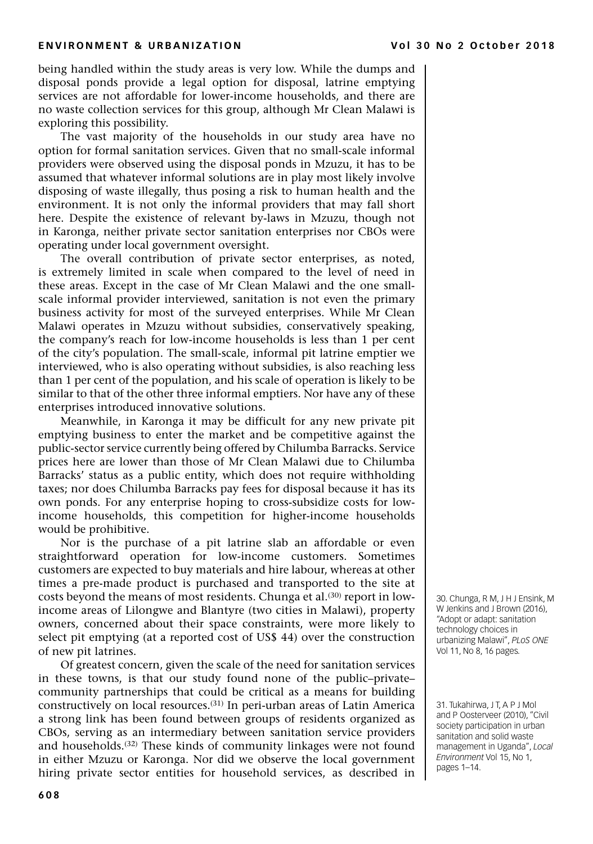being handled within the study areas is very low. While the dumps and disposal ponds provide a legal option for disposal, latrine emptying services are not affordable for lower-income households, and there are no waste collection services for this group, although Mr Clean Malawi is exploring this possibility.

The vast majority of the households in our study area have no option for formal sanitation services. Given that no small-scale informal providers were observed using the disposal ponds in Mzuzu, it has to be assumed that whatever informal solutions are in play most likely involve disposing of waste illegally, thus posing a risk to human health and the environment. It is not only the informal providers that may fall short here. Despite the existence of relevant by-laws in Mzuzu, though not in Karonga, neither private sector sanitation enterprises nor CBOs were operating under local government oversight.

The overall contribution of private sector enterprises, as noted, is extremely limited in scale when compared to the level of need in these areas. Except in the case of Mr Clean Malawi and the one smallscale informal provider interviewed, sanitation is not even the primary business activity for most of the surveyed enterprises. While Mr Clean Malawi operates in Mzuzu without subsidies, conservatively speaking, the company's reach for low-income households is less than 1 per cent of the city's population. The small-scale, informal pit latrine emptier we interviewed, who is also operating without subsidies, is also reaching less than 1 per cent of the population, and his scale of operation is likely to be similar to that of the other three informal emptiers. Nor have any of these enterprises introduced innovative solutions.

Meanwhile, in Karonga it may be difficult for any new private pit emptying business to enter the market and be competitive against the public-sector service currently being offered by Chilumba Barracks. Service prices here are lower than those of Mr Clean Malawi due to Chilumba Barracks' status as a public entity, which does not require withholding taxes; nor does Chilumba Barracks pay fees for disposal because it has its own ponds. For any enterprise hoping to cross-subsidize costs for lowincome households, this competition for higher-income households would be prohibitive.

Nor is the purchase of a pit latrine slab an affordable or even straightforward operation for low-income customers. Sometimes customers are expected to buy materials and hire labour, whereas at other times a pre-made product is purchased and transported to the site at costs beyond the means of most residents. Chunga et al.<sup>(30)</sup> report in lowincome areas of Lilongwe and Blantyre (two cities in Malawi), property owners, concerned about their space constraints, were more likely to select pit emptying (at a reported cost of US\$ 44) over the construction of new pit latrines.

Of greatest concern, given the scale of the need for sanitation services in these towns, is that our study found none of the public–private– community partnerships that could be critical as a means for building constructively on local resources.(31) In peri-urban areas of Latin America a strong link has been found between groups of residents organized as CBOs, serving as an intermediary between sanitation service providers and households.(32) These kinds of community linkages were not found in either Mzuzu or Karonga. Nor did we observe the local government hiring private sector entities for household services, as described in 30. Chunga, R M, J H J Ensink, M W Jenkins and J Brown (2016), "Adopt or adapt: sanitation technology choices in urbanizing Malawi", *PLoS ONE* Vol 11, No 8, 16 pages.

31. Tukahirwa, J T, A P J Mol and P Oosterveer (2010), "Civil society participation in urban sanitation and solid waste management in Uganda", *Local Environment* Vol 15, No 1, pages 1–14.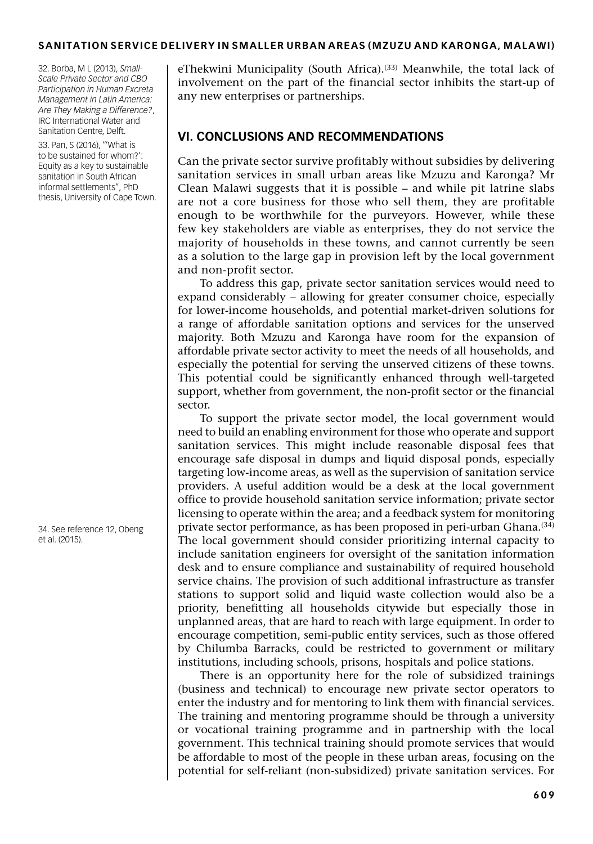## **Sanitation service delivery in smaller urban areas (Mzuzu and Karonga, Malawi)**

32. Borba, M L (2013), *Small-Scale Private Sector and CBO Participation in Human Excreta Management in Latin America: Are They Making a Difference?*, IRC International Water and Sanitation Centre, Delft.

33. Pan, S (2016), "'What is to be sustained for whom?': Equity as a key to sustainable sanitation in South African informal settlements", PhD thesis, University of Cape Town.

34. See reference 12, Obeng et al. (2015).

eThekwini Municipality (South Africa).<sup>(33)</sup> Meanwhile, the total lack of involvement on the part of the financial sector inhibits the start-up of any new enterprises or partnerships.

# **VI. Conclusions and Recommendations**

Can the private sector survive profitably without subsidies by delivering sanitation services in small urban areas like Mzuzu and Karonga? Mr Clean Malawi suggests that it is possible – and while pit latrine slabs are not a core business for those who sell them, they are profitable enough to be worthwhile for the purveyors. However, while these few key stakeholders are viable as enterprises, they do not service the majority of households in these towns, and cannot currently be seen as a solution to the large gap in provision left by the local government and non-profit sector.

To address this gap, private sector sanitation services would need to expand considerably – allowing for greater consumer choice, especially for lower-income households, and potential market-driven solutions for a range of affordable sanitation options and services for the unserved majority. Both Mzuzu and Karonga have room for the expansion of affordable private sector activity to meet the needs of all households, and especially the potential for serving the unserved citizens of these towns. This potential could be significantly enhanced through well-targeted support, whether from government, the non-profit sector or the financial sector.

To support the private sector model, the local government would need to build an enabling environment for those who operate and support sanitation services. This might include reasonable disposal fees that encourage safe disposal in dumps and liquid disposal ponds, especially targeting low-income areas, as well as the supervision of sanitation service providers. A useful addition would be a desk at the local government office to provide household sanitation service information; private sector licensing to operate within the area; and a feedback system for monitoring private sector performance, as has been proposed in peri-urban Ghana.(34) The local government should consider prioritizing internal capacity to include sanitation engineers for oversight of the sanitation information desk and to ensure compliance and sustainability of required household service chains. The provision of such additional infrastructure as transfer stations to support solid and liquid waste collection would also be a priority, benefitting all households citywide but especially those in unplanned areas, that are hard to reach with large equipment. In order to encourage competition, semi-public entity services, such as those offered by Chilumba Barracks, could be restricted to government or military institutions, including schools, prisons, hospitals and police stations.

There is an opportunity here for the role of subsidized trainings (business and technical) to encourage new private sector operators to enter the industry and for mentoring to link them with financial services. The training and mentoring programme should be through a university or vocational training programme and in partnership with the local government. This technical training should promote services that would be affordable to most of the people in these urban areas, focusing on the potential for self-reliant (non-subsidized) private sanitation services. For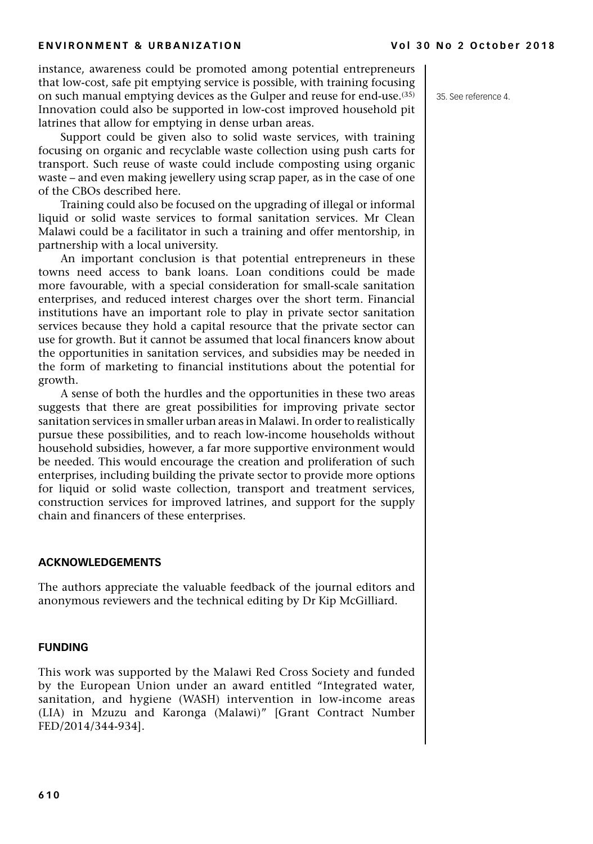instance, awareness could be promoted among potential entrepreneurs that low-cost, safe pit emptying service is possible, with training focusing on such manual emptying devices as the Gulper and reuse for end-use.(35) Innovation could also be supported in low-cost improved household pit latrines that allow for emptying in dense urban areas.

Support could be given also to solid waste services, with training focusing on organic and recyclable waste collection using push carts for transport. Such reuse of waste could include composting using organic waste – and even making jewellery using scrap paper, as in the case of one of the CBOs described here.

Training could also be focused on the upgrading of illegal or informal liquid or solid waste services to formal sanitation services. Mr Clean Malawi could be a facilitator in such a training and offer mentorship, in partnership with a local university.

An important conclusion is that potential entrepreneurs in these towns need access to bank loans. Loan conditions could be made more favourable, with a special consideration for small-scale sanitation enterprises, and reduced interest charges over the short term. Financial institutions have an important role to play in private sector sanitation services because they hold a capital resource that the private sector can use for growth. But it cannot be assumed that local financers know about the opportunities in sanitation services, and subsidies may be needed in the form of marketing to financial institutions about the potential for growth.

A sense of both the hurdles and the opportunities in these two areas suggests that there are great possibilities for improving private sector sanitation services in smaller urban areas in Malawi. In order to realistically pursue these possibilities, and to reach low-income households without household subsidies, however, a far more supportive environment would be needed. This would encourage the creation and proliferation of such enterprises, including building the private sector to provide more options for liquid or solid waste collection, transport and treatment services, construction services for improved latrines, and support for the supply chain and financers of these enterprises.

#### **Acknowledgements**

The authors appreciate the valuable feedback of the journal editors and anonymous reviewers and the technical editing by Dr Kip McGilliard.

#### **Funding**

This work was supported by the Malawi Red Cross Society and funded by the European Union under an award entitled "Integrated water, sanitation, and hygiene (WASH) intervention in low-income areas (LIA) in Mzuzu and Karonga (Malawi)" [Grant Contract Number FED/2014/344-934].

35. See reference 4.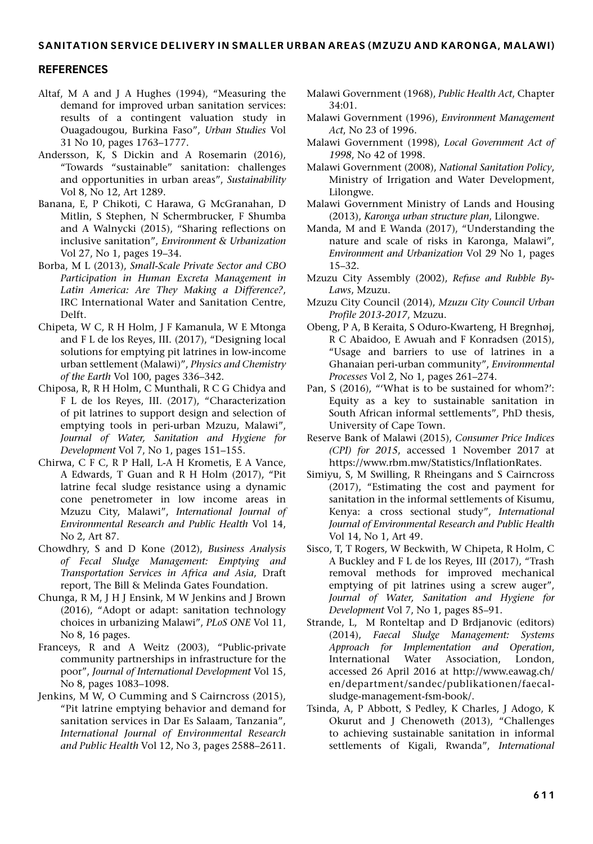## **References**

- Altaf, M A and J A Hughes (1994), "Measuring the demand for improved urban sanitation services: results of a contingent valuation study in Ouagadougou, Burkina Faso", *Urban Studies* Vol 31 No 10, pages 1763–1777.
- Andersson, K, S Dickin and A Rosemarin (2016), "Towards "sustainable" sanitation: challenges and opportunities in urban areas", *Sustainability* Vol 8, No 12, Art 1289.
- Banana, E, P Chikoti, C Harawa, G McGranahan, D Mitlin, S Stephen, N Schermbrucker, F Shumba and A Walnycki (2015), "Sharing reflections on inclusive sanitation", *Environment & Urbanization* Vol 27, No 1, pages 19–34.
- Borba, M L (2013), *Small-Scale Private Sector and CBO Participation in Human Excreta Management in Latin America: Are They Making a Difference?*, IRC International Water and Sanitation Centre, Delft.
- Chipeta, W C, R H Holm, J F Kamanula, W E Mtonga and F L de los Reyes, III. (2017), "Designing local solutions for emptying pit latrines in low-income urban settlement (Malawi)", *Physics and Chemistry of the Earth* Vol 100, pages 336–342.
- Chiposa, R, R H Holm, C Munthali, R C G Chidya and F L de los Reyes, III. (2017), "Characterization of pit latrines to support design and selection of emptying tools in peri-urban Mzuzu, Malawi", *Journal of Water, Sanitation and Hygiene for Development* Vol 7, No 1, pages 151–155.
- Chirwa, C F C, R P Hall, L-A H Krometis, E A Vance, A Edwards, T Guan and R H Holm (2017), "Pit latrine fecal sludge resistance using a dynamic cone penetrometer in low income areas in Mzuzu City, Malawi", *International Journal of Environmental Research and Public Health* Vol 14, No 2, Art 87.
- Chowdhry, S and D Kone (2012), *Business Analysis of Fecal Sludge Management: Emptying and Transportation Services in Africa and Asia*, Draft report, The Bill & Melinda Gates Foundation.
- Chunga, R M, J H J Ensink, M W Jenkins and J Brown (2016), "Adopt or adapt: sanitation technology choices in urbanizing Malawi", *PLoS ONE* Vol 11, No 8, 16 pages.
- Franceys, R and A Weitz (2003), "Public-private community partnerships in infrastructure for the poor", *Journal of International Development* Vol 15, No 8, pages 1083–1098.
- Jenkins, M W, O Cumming and S Cairncross (2015), "Pit latrine emptying behavior and demand for sanitation services in Dar Es Salaam, Tanzania", *International Journal of Environmental Research and Public Health* Vol 12, No 3, pages 2588–2611.
- Malawi Government (1968), *Public Health Act*, Chapter 34:01.
- Malawi Government (1996), *Environment Management Act*, No 23 of 1996.
- Malawi Government (1998), *Local Government Act of 1998*, No 42 of 1998.
- Malawi Government (2008), *National Sanitation Policy*, Ministry of Irrigation and Water Development, Lilongwe.
- Malawi Government Ministry of Lands and Housing (2013), *Karonga urban structure plan*, Lilongwe.
- Manda, M and E Wanda (2017), "Understanding the nature and scale of risks in Karonga, Malawi", *Environment and Urbanization* Vol 29 No 1, pages 15–32.
- Mzuzu City Assembly (2002), *Refuse and Rubble By-Laws*, Mzuzu.
- Mzuzu City Council (2014), *Mzuzu City Council Urban Profile 2013-2017*, Mzuzu.
- Obeng, P A, B Keraita, S Oduro-Kwarteng, H Bregnhøj, R C Abaidoo, E Awuah and F Konradsen (2015), "Usage and barriers to use of latrines in a Ghanaian peri-urban community", *Environmental Processes* Vol 2, No 1, pages 261–274.
- Pan, S (2016), "'What is to be sustained for whom?': Equity as a key to sustainable sanitation in South African informal settlements", PhD thesis, University of Cape Town.
- Reserve Bank of Malawi (2015), *Consumer Price Indices (CPI) for 2015*, accessed 1 November 2017 at <https://www.rbm.mw/Statistics/InflationRates>.
- Simiyu, S, M Swilling, R Rheingans and S Cairncross (2017), "Estimating the cost and payment for sanitation in the informal settlements of Kisumu, Kenya: a cross sectional study", *International Journal of Environmental Research and Public Health* Vol 14, No 1, Art 49.
- Sisco, T, T Rogers, W Beckwith, W Chipeta, R Holm, C A Buckley and F L de los Reyes, III (2017), "Trash removal methods for improved mechanical emptying of pit latrines using a screw auger", *Journal of Water, Sanitation and Hygiene for Development* Vol 7, No 1, pages 85–91.
- Strande, L, M Ronteltap and D Brdjanovic (editors) (2014), *Faecal Sludge Management: Systems Approach for Implementation and Operation*, International Water Association, London, accessed 26 April 2016 at [http://www.eawag.ch/](http://www.eawag.ch/en/department/sandec/publikationen/faecal-sludge-management-fsm-book/) [en/department/sandec/publikationen/faecal](http://www.eawag.ch/en/department/sandec/publikationen/faecal-sludge-management-fsm-book/)[sludge-management-fsm-book/](http://www.eawag.ch/en/department/sandec/publikationen/faecal-sludge-management-fsm-book/).
- Tsinda, A, P Abbott, S Pedley, K Charles, J Adogo, K Okurut and J Chenoweth (2013), "Challenges to achieving sustainable sanitation in informal settlements of Kigali, Rwanda", *International*